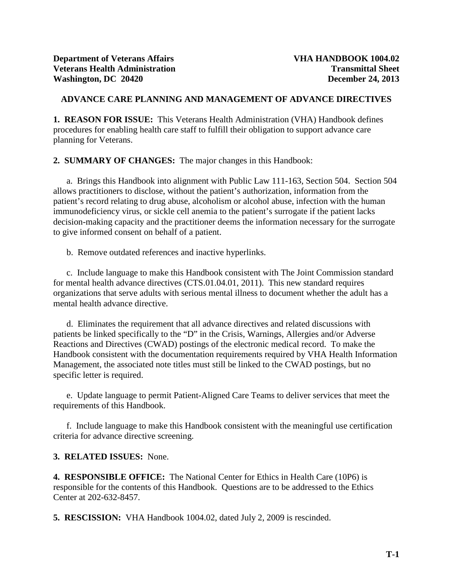# **ADVANCE CARE PLANNING AND MANAGEMENT OF ADVANCE DIRECTIVES**

**1. REASON FOR ISSUE:** This Veterans Health Administration (VHA) Handbook defines procedures for enabling health care staff to fulfill their obligation to support advance care planning for Veterans.

**2. SUMMARY OF CHANGES:** The major changes in this Handbook:

a. Brings this Handbook into alignment with Public Law 111-163, Section 504. Section 504 allows practitioners to disclose, without the patient's authorization, information from the patient's record relating to drug abuse, alcoholism or alcohol abuse, infection with the human immunodeficiency virus, or sickle cell anemia to the patient's surrogate if the patient lacks decision-making capacity and the practitioner deems the information necessary for the surrogate to give informed consent on behalf of a patient.

b. Remove outdated references and inactive hyperlinks.

c. Include language to make this Handbook consistent with The Joint Commission standard for mental health advance directives (CTS.01.04.01, 2011). This new standard requires organizations that serve adults with serious mental illness to document whether the adult has a mental health advance directive.

d. Eliminates the requirement that all advance directives and related discussions with patients be linked specifically to the "D" in the Crisis, Warnings, Allergies and/or Adverse Reactions and Directives (CWAD) postings of the electronic medical record. To make the Handbook consistent with the documentation requirements required by VHA Health Information Management, the associated note titles must still be linked to the CWAD postings, but no specific letter is required.

e. Update language to permit Patient-Aligned Care Teams to deliver services that meet the requirements of this Handbook.

f. Include language to make this Handbook consistent with the meaningful use certification criteria for advance directive screening.

# **3. RELATED ISSUES:** None.

**4. RESPONSIBLE OFFICE:** The National Center for Ethics in Health Care (10P6) is responsible for the contents of this Handbook. Questions are to be addressed to the Ethics Center at 202-632-8457.

**5. RESCISSION:** VHA Handbook 1004.02, dated July 2, 2009 is rescinded.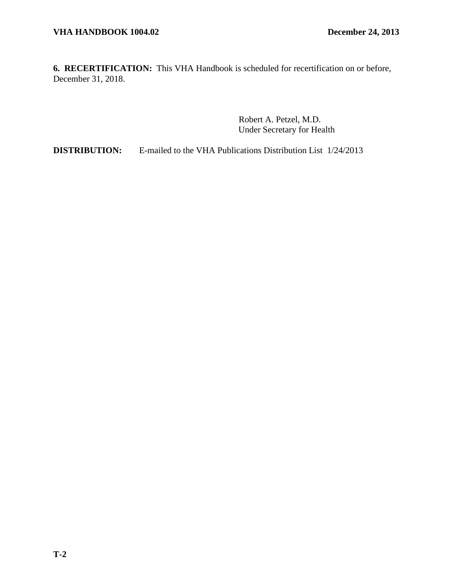**6. RECERTIFICATION:** This VHA Handbook is scheduled for recertification on or before, December 31, 2018.

> Robert A. Petzel, M.D. Under Secretary for Health

**DISTRIBUTION:** E-mailed to the VHA Publications Distribution List  $1/24/2013$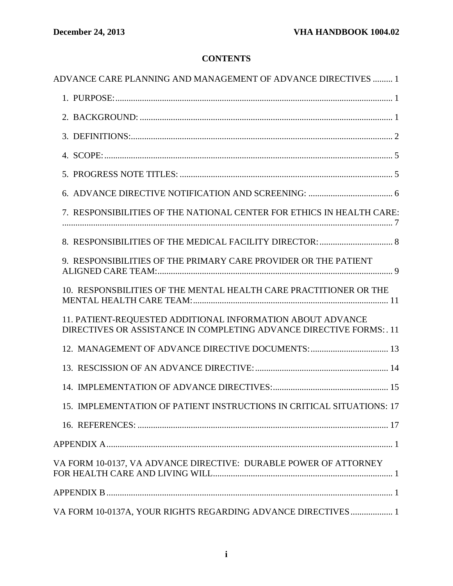# **CONTENTS**

| ADVANCE CARE PLANNING AND MANAGEMENT OF ADVANCE DIRECTIVES  1                                                                      |
|------------------------------------------------------------------------------------------------------------------------------------|
|                                                                                                                                    |
|                                                                                                                                    |
|                                                                                                                                    |
|                                                                                                                                    |
|                                                                                                                                    |
|                                                                                                                                    |
| 7. RESPONSIBILITIES OF THE NATIONAL CENTER FOR ETHICS IN HEALTH CARE:                                                              |
|                                                                                                                                    |
| 9. RESPONSIBILITIES OF THE PRIMARY CARE PROVIDER OR THE PATIENT                                                                    |
| 10. RESPONSBILITIES OF THE MENTAL HEALTH CARE PRACTITIONER OR THE                                                                  |
| 11. PATIENT-REQUESTED ADDITIONAL INFORMATION ABOUT ADVANCE<br>DIRECTIVES OR ASSISTANCE IN COMPLETING ADVANCE DIRECTIVE FORMS: . 11 |
| 12. MANAGEMENT OF ADVANCE DIRECTIVE DOCUMENTS:  13                                                                                 |
|                                                                                                                                    |
|                                                                                                                                    |
| 15. IMPLEMENTATION OF PATIENT INSTRUCTIONS IN CRITICAL SITUATIONS: 17                                                              |
|                                                                                                                                    |
|                                                                                                                                    |
| VA FORM 10-0137, VA ADVANCE DIRECTIVE: DURABLE POWER OF ATTORNEY                                                                   |
|                                                                                                                                    |
| VA FORM 10-0137A, YOUR RIGHTS REGARDING ADVANCE DIRECTIVES  1                                                                      |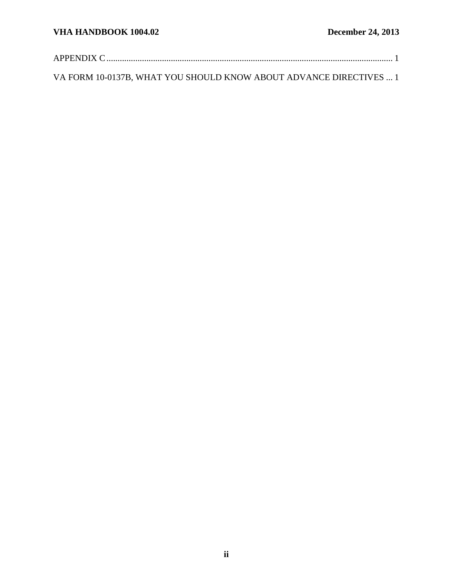[VA FORM 10-0137B, WHAT YOU SHOULD KNOW ABOUT ADVANCE DIRECTIVES](#page-24-1) ... 1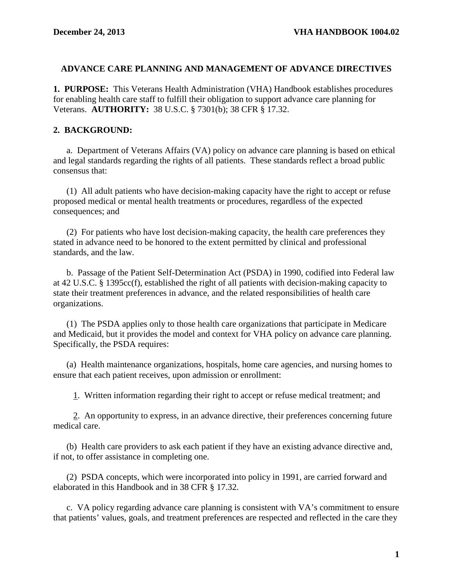#### <span id="page-4-0"></span>**ADVANCE CARE PLANNING AND MANAGEMENT OF ADVANCE DIRECTIVES**

<span id="page-4-1"></span>**1. PURPOSE:** This Veterans Health Administration (VHA) Handbook establishes procedures for enabling health care staff to fulfill their obligation to support advance care planning for Veterans. **AUTHORITY:** 38 U.S.C. § 7301(b); 38 CFR § 17.32.

### <span id="page-4-2"></span>**2. BACKGROUND:**

a. Department of Veterans Affairs (VA) policy on advance care planning is based on ethical and legal standards regarding the rights of all patients. These standards reflect a broad public consensus that:

(1) All adult patients who have decision-making capacity have the right to accept or refuse proposed medical or mental health treatments or procedures, regardless of the expected consequences; and

(2) For patients who have lost decision-making capacity, the health care preferences they stated in advance need to be honored to the extent permitted by clinical and professional standards, and the law.

b. Passage of the Patient Self-Determination Act (PSDA) in 1990, codified into Federal law at 42 U.S.C. § 1395cc(f), established the right of all patients with decision-making capacity to state their treatment preferences in advance, and the related responsibilities of health care organizations.

(1) The PSDA applies only to those health care organizations that participate in Medicare and Medicaid, but it provides the model and context for VHA policy on advance care planning. Specifically, the PSDA requires:

(a) Health maintenance organizations, hospitals, home care agencies, and nursing homes to ensure that each patient receives, upon admission or enrollment:

1. Written information regarding their right to accept or refuse medical treatment; and

 2. An opportunity to express, in an advance directive, their preferences concerning future medical care.

(b) Health care providers to ask each patient if they have an existing advance directive and, if not, to offer assistance in completing one.

(2) PSDA concepts, which were incorporated into policy in 1991, are carried forward and elaborated in this Handbook and in 38 CFR § 17.32.

c. VA policy regarding advance care planning is consistent with VA's commitment to ensure that patients' values, goals, and treatment preferences are respected and reflected in the care they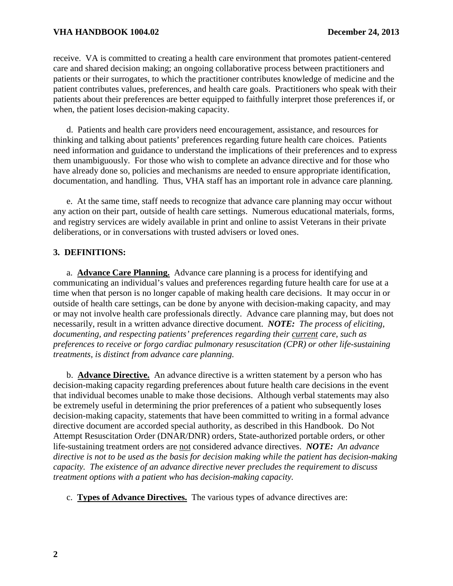# **VHA HANDBOOK 1004.02 December 24, 2013**

receive. VA is committed to creating a health care environment that promotes patient-centered care and shared decision making; an ongoing collaborative process between practitioners and patients or their surrogates, to which the practitioner contributes knowledge of medicine and the patient contributes values, preferences, and health care goals. Practitioners who speak with their patients about their preferences are better equipped to faithfully interpret those preferences if, or when, the patient loses decision-making capacity.

d. Patients and health care providers need encouragement, assistance, and resources for thinking and talking about patients' preferences regarding future health care choices. Patients need information and guidance to understand the implications of their preferences and to express them unambiguously. For those who wish to complete an advance directive and for those who have already done so, policies and mechanisms are needed to ensure appropriate identification, documentation, and handling. Thus, VHA staff has an important role in advance care planning.

e. At the same time, staff needs to recognize that advance care planning may occur without any action on their part, outside of health care settings. Numerous educational materials, forms, and registry services are widely available in print and online to assist Veterans in their private deliberations, or in conversations with trusted advisers or loved ones.

# <span id="page-5-0"></span>**3. DEFINITIONS:**

a. **Advance Care Planning.** Advance care planning is a process for identifying and communicating an individual's values and preferences regarding future health care for use at a time when that person is no longer capable of making health care decisions. It may occur in or outside of health care settings, can be done by anyone with decision-making capacity, and may or may not involve health care professionals directly. Advance care planning may, but does not necessarily, result in a written advance directive document. *NOTE: The process of eliciting, documenting, and respecting patients' preferences regarding their current care, such as preferences to receive or forgo cardiac pulmonary resuscitation (CPR) or other life-sustaining treatments, is distinct from advance care planning.*

b. **Advance Directive.** An advance directive is a written statement by a person who has decision-making capacity regarding preferences about future health care decisions in the event that individual becomes unable to make those decisions. Although verbal statements may also be extremely useful in determining the prior preferences of a patient who subsequently loses decision-making capacity, statements that have been committed to writing in a formal advance directive document are accorded special authority, as described in this Handbook. Do Not Attempt Resuscitation Order (DNAR/DNR) orders, State-authorized portable orders, or other life-sustaining treatment orders are not considered advance directives. *NOTE: An advance directive is not to be used as the basis for decision making while the patient has decision-making capacity. The existence of an advance directive never precludes the requirement to discuss treatment options with a patient who has decision-making capacity.*

c. **Types of Advance Directives.** The various types of advance directives are: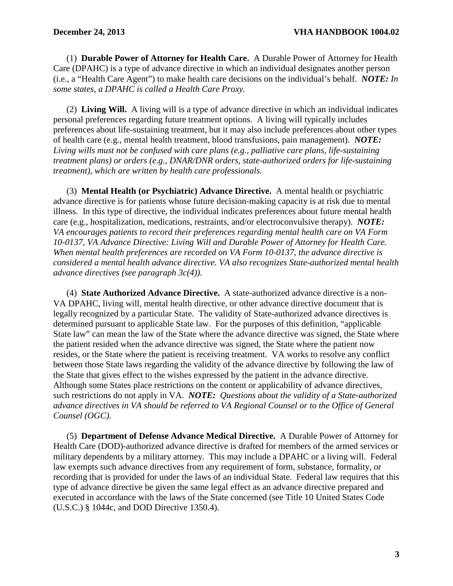(1) **Durable Power of Attorney for Health Care.** A Durable Power of Attorney for Health Care (DPAHC) is a type of advance directive in which an individual designates another person (i.e., a "Health Care Agent") to make health care decisions on the individual's behalf. *NOTE: In some states, a DPAHC is called a Health Care Proxy.*

(2) **Living Will.** A living will is a type of advance directive in which an individual indicates personal preferences regarding future treatment options. A living will typically includes preferences about life-sustaining treatment, but it may also include preferences about other types of health care (e.g., mental health treatment, blood transfusions, pain management).*NOTE: Living wills must not be confused with care plans (e.g., palliative care plans, life-sustaining treatment plans) or orders (e.g., DNAR/DNR orders, state-authorized orders for life-sustaining treatment), which are written by health care professionals.*

(3) **Mental Health (or Psychiatric) Advance Directive.** A mental health or psychiatric advance directive is for patients whose future decision-making capacity is at risk due to mental illness. In this type of directive, the individual indicates preferences about future mental health care (e.g., hospitalization, medications, restraints, and/or electroconvulsive therapy). *NOTE: VA encourages patients to record their preferences regarding mental health care on VA Form 10-0137, VA Advance Directive: Living Will and Durable Power of Attorney for Health Care. When mental health preferences are recorded on VA Form 10-0137, the advance directive is considered a mental health advance directive. VA also recognizes State-authorized mental health advance directives (see paragraph 3c(4)).*

(4) **State Authorized Advance Directive.** A state-authorized advance directive is a non-VA DPAHC, living will, mental health directive, or other advance directive document that is legally recognized by a particular State. The validity of State-authorized advance directives is determined pursuant to applicable State law. For the purposes of this definition, "applicable State law" can mean the law of the State where the advance directive was signed, the State where the patient resided when the advance directive was signed, the State where the patient now resides, or the State where the patient is receiving treatment. VA works to resolve any conflict between those State laws regarding the validity of the advance directive by following the law of the State that gives effect to the wishes expressed by the patient in the advance directive. Although some States place restrictions on the content or applicability of advance directives, such restrictions do not apply in VA. *NOTE: Questions about the validity of a State-authorized advance directives in VA should be referred to VA Regional Counsel or to the Office of General Counsel (OGC).*

(5) **Department of Defense Advance Medical Directive.** A Durable Power of Attorney for Health Care (DOD)-authorized advance directive is drafted for members of the armed services or military dependents by a military attorney. This may include a DPAHC or a living will. Federal law exempts such advance directives from any requirement of form, substance, formality, or recording that is provided for under the laws of an individual State. Federal law requires that this type of advance directive be given the same legal effect as an advance directive prepared and executed in accordance with the laws of the State concerned (see Title 10 United States Code (U.S.C.) § 1044c, and DOD Directive 1350.4).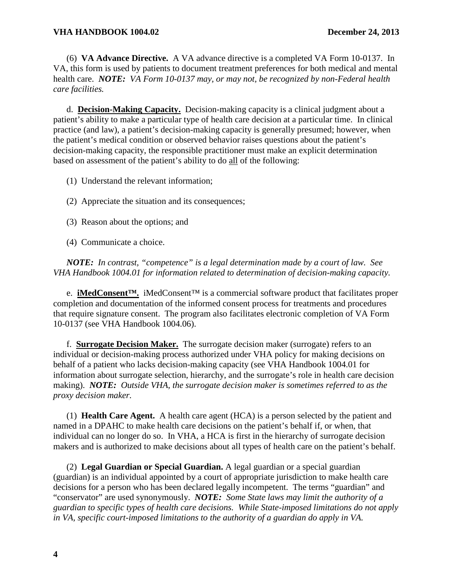(6) **VA Advance Directive.** A VA advance directive is a completed VA Form 10-0137.In VA, this form is used by patients to document treatment preferences for both medical and mental health care. *NOTE: VA Form 10-0137 may, or may not, be recognized by non-Federal health care facilities.*

d. **Decision-Making Capacity.** Decision-making capacity is a clinical judgment about a patient's ability to make a particular type of health care decision at a particular time. In clinical practice (and law), a patient's decision-making capacity is generally presumed; however, when the patient's medical condition or observed behavior raises questions about the patient's decision-making capacity, the responsible practitioner must make an explicit determination based on assessment of the patient's ability to do all of the following:

- (1) Understand the relevant information;
- (2) Appreciate the situation and its consequences;
- (3) Reason about the options; and
- (4) Communicate a choice.

*NOTE: In contrast, "competence" is a legal determination made by a court of law. See VHA Handbook 1004.01 for information related to determination of decision-making capacity.*

e. **iMedConsent™.** iMedConsent™ is a commercial software product that facilitates proper completion and documentation of the informed consent process for treatments and procedures that require signature consent. The program also facilitates electronic completion of VA Form 10-0137 (see VHA Handbook 1004.06).

f. **Surrogate Decision Maker.** The surrogate decision maker (surrogate) refers to an individual or decision-making process authorized under VHA policy for making decisions on behalf of a patient who lacks decision-making capacity (see VHA Handbook 1004.01 for information about surrogate selection, hierarchy, and the surrogate's role in health care decision making). *NOTE: Outside VHA, the surrogate decision maker is sometimes referred to as the proxy decision maker.*

(1) **Health Care Agent.** A health care agent (HCA) is a person selected by the patient and named in a DPAHC to make health care decisions on the patient's behalf if, or when, that individual can no longer do so. In VHA, a HCA is first in the hierarchy of surrogate decision makers and is authorized to make decisions about all types of health care on the patient's behalf.

(2) **Legal Guardian or Special Guardian.** A legal guardian or a special guardian (guardian) is an individual appointed by a court of appropriate jurisdiction to make health care decisions for a person who has been declared legally incompetent. The terms "guardian" and "conservator" are used synonymously.*NOTE: Some State laws may limit the authority of a guardian to specific types of health care decisions. While State-imposed limitations do not apply in VA, specific court-imposed limitations to the authority of a guardian do apply in VA.*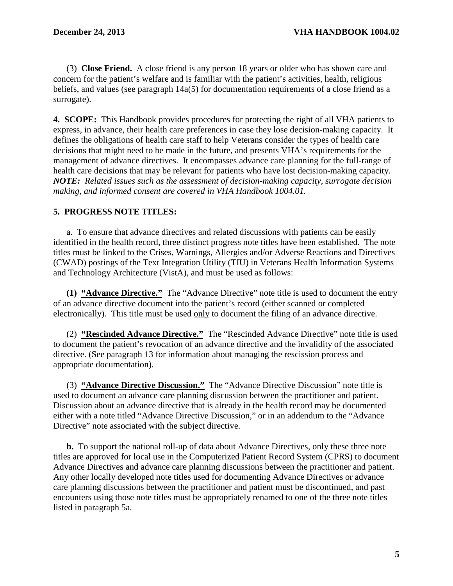(3) **Close Friend.** A close friend is any person 18 years or older who has shown care and concern for the patient's welfare and is familiar with the patient's activities, health, religious beliefs, and values (see paragraph 14a(5) for documentation requirements of a close friend as a surrogate).

<span id="page-8-0"></span>**4. SCOPE:** This Handbook provides procedures for protecting the right of all VHA patients to express, in advance, their health care preferences in case they lose decision-making capacity. It defines the obligations of health care staff to help Veterans consider the types of health care decisions that might need to be made in the future, and presents VHA's requirements for the management of advance directives. It encompasses advance care planning for the full-range of health care decisions that may be relevant for patients who have lost decision-making capacity. *NOTE: Related issues such as the assessment of decision-making capacity, surrogate decision making, and informed consent are covered in VHA Handbook 1004.01.*

# <span id="page-8-1"></span>**5. PROGRESS NOTE TITLES:**

a. To ensure that advance directives and related discussions with patients can be easily identified in the health record, three distinct progress note titles have been established. The note titles must be linked to the Crises, Warnings, Allergies and/or Adverse Reactions and Directives (CWAD) postings of the Text Integration Utility (TIU) in Veterans Health Information Systems and Technology Architecture (VistA), and must be used as follows:

**(1) "Advance Directive."** The "Advance Directive" note title is used to document the entry of an advance directive document into the patient's record (either scanned or completed electronically). This title must be used only to document the filing of an advance directive.

(2) **"Rescinded Advance Directive."** The "Rescinded Advance Directive" note title is used to document the patient's revocation of an advance directive and the invalidity of the associated directive. (See paragraph 13 for information about managing the rescission process and appropriate documentation).

(3) **"Advance Directive Discussion."** The "Advance Directive Discussion" note title is used to document an advance care planning discussion between the practitioner and patient. Discussion about an advance directive that is already in the health record may be documented either with a note titled "Advance Directive Discussion," or in an addendum to the "Advance Directive" note associated with the subject directive.

**b.** To support the national roll-up of data about Advance Directives, only these three note titles are approved for local use in the Computerized Patient Record System (CPRS) to document Advance Directives and advance care planning discussions between the practitioner and patient. Any other locally developed note titles used for documenting Advance Directives or advance care planning discussions between the practitioner and patient must be discontinued, and past encounters using those note titles must be appropriately renamed to one of the three note titles listed in paragraph 5a.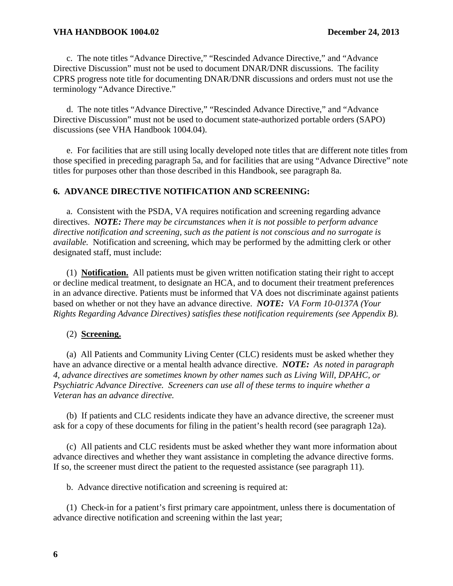c. The note titles "Advance Directive," "Rescinded Advance Directive," and "Advance Directive Discussion" must not be used to document DNAR/DNR discussions. The facility CPRS progress note title for documenting DNAR/DNR discussions and orders must not use the terminology "Advance Directive."

d. The note titles "Advance Directive," "Rescinded Advance Directive," and "Advance Directive Discussion" must not be used to document state-authorized portable orders (SAPO) discussions (see VHA Handbook 1004.04).

e. For facilities that are still using locally developed note titles that are different note titles from those specified in preceding paragraph 5a, and for facilities that are using "Advance Directive" note titles for purposes other than those described in this Handbook, see paragraph 8a.

# <span id="page-9-0"></span>**6. ADVANCE DIRECTIVE NOTIFICATION AND SCREENING:**

a. Consistent with the PSDA, VA requires notification and screening regarding advance directives. *NOTE: There may be circumstances when it is not possible to perform advance directive notification and screening, such as the patient is not conscious and no surrogate is available.* Notification and screening, which may be performed by the admitting clerk or other designated staff, must include:

(1) **Notification.** All patients must be given written notification stating their right to accept or decline medical treatment, to designate an HCA, and to document their treatment preferences in an advance directive. Patients must be informed that VA does not discriminate against patients based on whether or not they have an advance directive. *NOTE: VA Form 10-0137A (Your Rights Regarding Advance Directives) satisfies these notification requirements (see Appendix B).*

# (2) **Screening.**

(a) All Patients and Community Living Center (CLC) residents must be asked whether they have an advance directive or a mental health advance directive. *NOTE: As noted in paragraph 4, advance directives are sometimes known by other names such as Living Will, DPAHC, or Psychiatric Advance Directive. Screeners can use all of these terms to inquire whether a Veteran has an advance directive.*

(b) If patients and CLC residents indicate they have an advance directive, the screener must ask for a copy of these documents for filing in the patient's health record (see paragraph 12a).

(c) All patients and CLC residents must be asked whether they want more information about advance directives and whether they want assistance in completing the advance directive forms. If so, the screener must direct the patient to the requested assistance (see paragraph 11).

b. Advance directive notification and screening is required at:

(1) Check-in for a patient's first primary care appointment, unless there is documentation of advance directive notification and screening within the last year;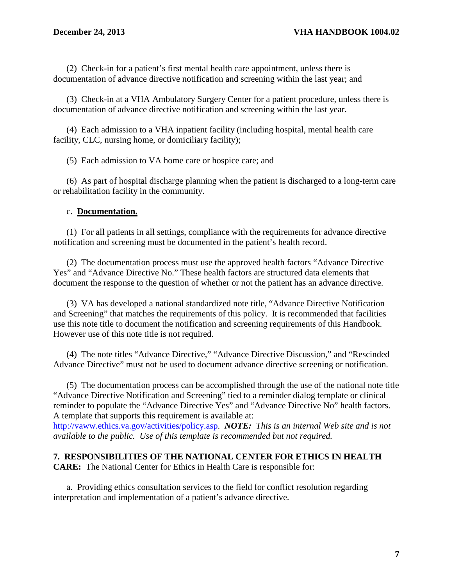(2) Check-in for a patient's first mental health care appointment, unless there is documentation of advance directive notification and screening within the last year; and

(3) Check-in at a VHA Ambulatory Surgery Center for a patient procedure, unless there is documentation of advance directive notification and screening within the last year.

(4) Each admission to a VHA inpatient facility (including hospital, mental health care facility, CLC, nursing home, or domiciliary facility);

(5) Each admission to VA home care or hospice care; and

(6) As part of hospital discharge planning when the patient is discharged to a long-term care or rehabilitation facility in the community.

# c. **Documentation.**

(1) For all patients in all settings, compliance with the requirements for advance directive notification and screening must be documented in the patient's health record.

(2) The documentation process must use the approved health factors "Advance Directive Yes" and "Advance Directive No." These health factors are structured data elements that document the response to the question of whether or not the patient has an advance directive.

(3) VA has developed a national standardized note title, "Advance Directive Notification and Screening" that matches the requirements of this policy. It is recommended that facilities use this note title to document the notification and screening requirements of this Handbook. However use of this note title is not required.

(4) The note titles "Advance Directive," "Advance Directive Discussion," and "Rescinded Advance Directive" must not be used to document advance directive screening or notification.

(5) The documentation process can be accomplished through the use of the national note title "Advance Directive Notification and Screening" tied to a reminder dialog template or clinical reminder to populate the "Advance Directive Yes" and "Advance Directive No" health factors. A template that supports this requirement is available at:

[http://vaww.ethics.va.gov/activities/policy.asp.](http://vaww.ethics.va.gov/activities/policy.asp) *NOTE: This is an internal Web site and is not available to the public. Use of this template is recommended but not required.*

# <span id="page-10-0"></span>**7. RESPONSIBILITIES OF THE NATIONAL CENTER FOR ETHICS IN HEALTH**

**CARE:** The National Center for Ethics in Health Care is responsible for:

a. Providing ethics consultation services to the field for conflict resolution regarding interpretation and implementation of a patient's advance directive.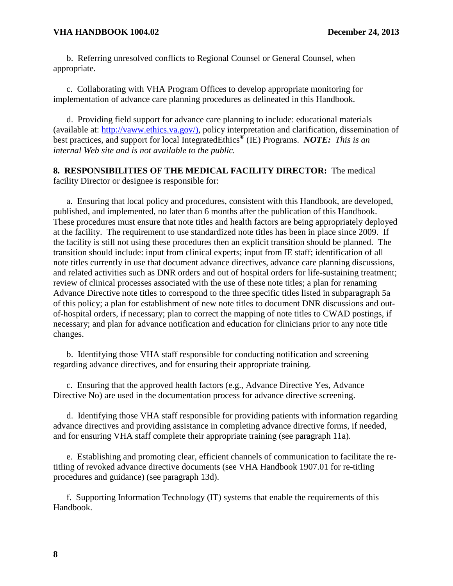#### **VHA HANDBOOK 1004.02 December 24, 2013**

b. Referring unresolved conflicts to Regional Counsel or General Counsel, when appropriate.

c. Collaborating with VHA Program Offices to develop appropriate monitoring for implementation of advance care planning procedures as delineated in this Handbook.

d. Providing field support for advance care planning to include: educational materials (available at: [http://vaww.ethics.va.gov/\)](http://vaww.ethics.va.gov/), policy interpretation and clarification, dissemination of best practices, and support for local IntegratedEthics® (IE) Programs. *NOTE: This is an internal Web site and is not available to the public.*

# <span id="page-11-0"></span>**8. RESPONSIBILITIES OF THE MEDICAL FACILITY DIRECTOR:** The medical facility Director or designee is responsible for:

a. Ensuring that local policy and procedures, consistent with this Handbook, are developed, published, and implemented, no later than 6 months after the publication of this Handbook. These procedures must ensure that note titles and health factors are being appropriately deployed at the facility. The requirement to use standardized note titles has been in place since 2009. If the facility is still not using these procedures then an explicit transition should be planned. The transition should include: input from clinical experts; input from IE staff; identification of all note titles currently in use that document advance directives, advance care planning discussions, and related activities such as DNR orders and out of hospital orders for life-sustaining treatment; review of clinical processes associated with the use of these note titles; a plan for renaming Advance Directive note titles to correspond to the three specific titles listed in subparagraph 5a of this policy; a plan for establishment of new note titles to document DNR discussions and outof-hospital orders, if necessary; plan to correct the mapping of note titles to CWAD postings, if necessary; and plan for advance notification and education for clinicians prior to any note title changes.

b. Identifying those VHA staff responsible for conducting notification and screening regarding advance directives, and for ensuring their appropriate training.

c. Ensuring that the approved health factors (e.g., Advance Directive Yes, Advance Directive No) are used in the documentation process for advance directive screening.

d. Identifying those VHA staff responsible for providing patients with information regarding advance directives and providing assistance in completing advance directive forms, if needed, and for ensuring VHA staff complete their appropriate training (see paragraph 11a).

e. Establishing and promoting clear, efficient channels of communication to facilitate the retitling of revoked advance directive documents (see VHA Handbook 1907.01 for re-titling procedures and guidance) (see paragraph 13d).

f. Supporting Information Technology (IT) systems that enable the requirements of this Handbook.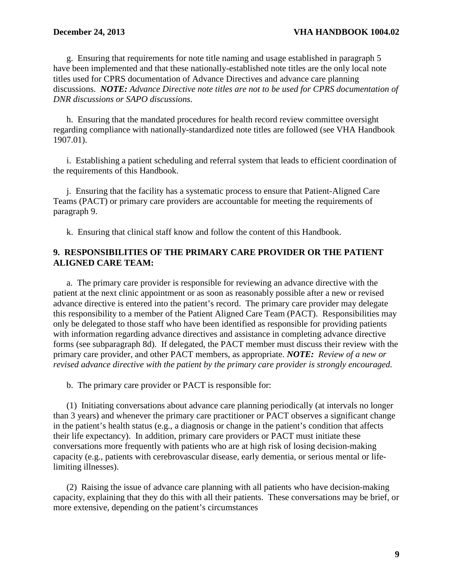g. Ensuring that requirements for note title naming and usage established in paragraph 5 have been implemented and that these nationally-established note titles are the only local note titles used for CPRS documentation of Advance Directives and advance care planning discussions. *NOTE: Advance Directive note titles are not to be used for CPRS documentation of DNR discussions or SAPO discussions.*

h. Ensuring that the mandated procedures for health record review committee oversight regarding compliance with nationally-standardized note titles are followed (see VHA Handbook 1907.01).

i. Establishing a patient scheduling and referral system that leads to efficient coordination of the requirements of this Handbook.

j. Ensuring that the facility has a systematic process to ensure that Patient-Aligned Care Teams (PACT) or primary care providers are accountable for meeting the requirements of paragraph 9.

k. Ensuring that clinical staff know and follow the content of this Handbook.

# <span id="page-12-0"></span>**9. RESPONSIBILITIES OF THE PRIMARY CARE PROVIDER OR THE PATIENT ALIGNED CARE TEAM:**

a. The primary care provider is responsible for reviewing an advance directive with the patient at the next clinic appointment or as soon as reasonably possible after a new or revised advance directive is entered into the patient's record. The primary care provider may delegate this responsibility to a member of the Patient Aligned Care Team (PACT). Responsibilities may only be delegated to those staff who have been identified as responsible for providing patients with information regarding advance directives and assistance in completing advance directive forms (see subparagraph 8d). If delegated, the PACT member must discuss their review with the primary care provider, and other PACT members, as appropriate. *NOTE: Review of a new or revised advance directive with the patient by the primary care provider is strongly encouraged.* 

b. The primary care provider or PACT is responsible for:

(1) Initiating conversations about advance care planning periodically (at intervals no longer than 3 years) and whenever the primary care practitioner or PACT observes a significant change in the patient's health status (e.g., a diagnosis or change in the patient's condition that affects their life expectancy). In addition, primary care providers or PACT must initiate these conversations more frequently with patients who are at high risk of losing decision-making capacity (e.g., patients with cerebrovascular disease, early dementia, or serious mental or lifelimiting illnesses).

(2) Raising the issue of advance care planning with all patients who have decision-making capacity, explaining that they do this with all their patients. These conversations may be brief, or more extensive, depending on the patient's circumstances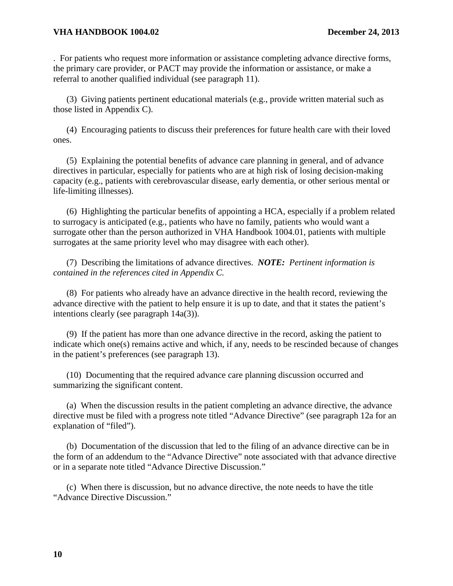#### **VHA HANDBOOK 1004.02 December 24, 2013**

. For patients who request more information or assistance completing advance directive forms, the primary care provider, or PACT may provide the information or assistance, or make a referral to another qualified individual (see paragraph 11).

(3) Giving patients pertinent educational materials (e.g., provide written material such as those listed in Appendix C).

(4) Encouraging patients to discuss their preferences for future health care with their loved ones.

(5) Explaining the potential benefits of advance care planning in general, and of advance directives in particular, especially for patients who are at high risk of losing decision-making capacity (e.g., patients with cerebrovascular disease, early dementia, or other serious mental or life-limiting illnesses).

(6) Highlighting the particular benefits of appointing a HCA, especially if a problem related to surrogacy is anticipated (e.g., patients who have no family, patients who would want a surrogate other than the person authorized in VHA Handbook 1004.01, patients with multiple surrogates at the same priority level who may disagree with each other).

(7) Describing the limitations of advance directives. *NOTE: Pertinent information is contained in the references cited in Appendix C.*

(8) For patients who already have an advance directive in the health record, reviewing the advance directive with the patient to help ensure it is up to date, and that it states the patient's intentions clearly (see paragraph 14a(3)).

(9) If the patient has more than one advance directive in the record, asking the patient to indicate which one(s) remains active and which, if any, needs to be rescinded because of changes in the patient's preferences (see paragraph 13).

(10) Documenting that the required advance care planning discussion occurred and summarizing the significant content.

(a) When the discussion results in the patient completing an advance directive, the advance directive must be filed with a progress note titled "Advance Directive" (see paragraph 12a for an explanation of "filed").

(b) Documentation of the discussion that led to the filing of an advance directive can be in the form of an addendum to the "Advance Directive" note associated with that advance directive or in a separate note titled "Advance Directive Discussion."

(c) When there is discussion, but no advance directive, the note needs to have the title "Advance Directive Discussion."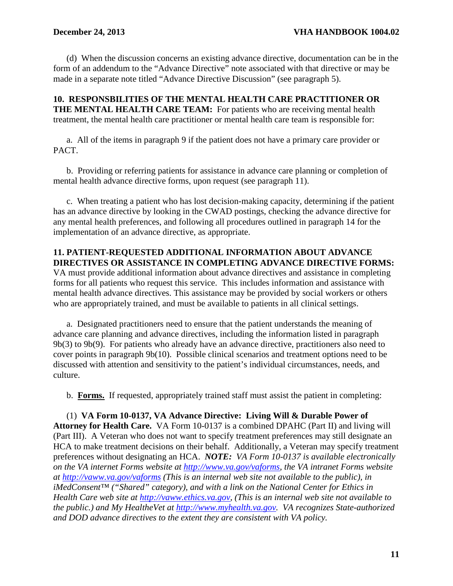(d) When the discussion concerns an existing advance directive, documentation can be in the form of an addendum to the "Advance Directive" note associated with that directive or may be made in a separate note titled "Advance Directive Discussion" (see paragraph 5).

<span id="page-14-0"></span>**10. RESPONSBILITIES OF THE MENTAL HEALTH CARE PRACTITIONER OR THE MENTAL HEALTH CARE TEAM:** For patients who are receiving mental health treatment, the mental health care practitioner or mental health care team is responsible for:

a. All of the items in paragraph 9 if the patient does not have a primary care provider or PACT.

b. Providing or referring patients for assistance in advance care planning or completion of mental health advance directive forms, upon request (see paragraph 11).

c. When treating a patient who has lost decision-making capacity, determining if the patient has an advance directive by looking in the CWAD postings, checking the advance directive for any mental health preferences, and following all procedures outlined in paragraph 14 for the implementation of an advance directive, as appropriate.

### <span id="page-14-1"></span>**11. PATIENT-REQUESTED ADDITIONAL INFORMATION ABOUT ADVANCE DIRECTIVES OR ASSISTANCE IN COMPLETING ADVANCE DIRECTIVE FORMS:**

VA must provide additional information about advance directives and assistance in completing forms for all patients who request this service. This includes information and assistance with mental health advance directives. This assistance may be provided by social workers or others who are appropriately trained, and must be available to patients in all clinical settings.

a. Designated practitioners need to ensure that the patient understands the meaning of advance care planning and advance directives, including the information listed in paragraph 9b(3) to 9b(9). For patients who already have an advance directive, practitioners also need to cover points in paragraph 9b(10). Possible clinical scenarios and treatment options need to be discussed with attention and sensitivity to the patient's individual circumstances, needs, and culture.

b. **Forms.** If requested, appropriately trained staff must assist the patient in completing:

(1) **VA Form 10-0137, VA Advance Directive: Living Will & Durable Power of Attorney for Health Care.** VA Form 10-0137 is a combined DPAHC (Part II) and living will (Part III). A Veteran who does not want to specify treatment preferences may still designate an HCA to make treatment decisions on their behalf. Additionally, a Veteran may specify treatment preferences without designating an HCA. *NOTE: VA Form 10-0137 is available electronically on the VA internet Forms website at [http://www.va.gov/vaforms,](http://www.va.gov/vaforms) the VA intranet Forms website at<http://vaww.va.gov/vaforms> (This is an internal web site not available to the public), in iMedConsent™ ("Shared" category), and with a link on the National Center for Ethics in Health Care web site at [http://vaww.ethics.va.gov,](http://vaww.ethics.va.gov/) (This is an internal web site not available to the public.) and My HealtheVet at [http://www.myhealth.va.gov.](http://www.myhealth.va.gov/)**VA recognizes State-authorized and DOD advance directives to the extent they are consistent with VA policy.*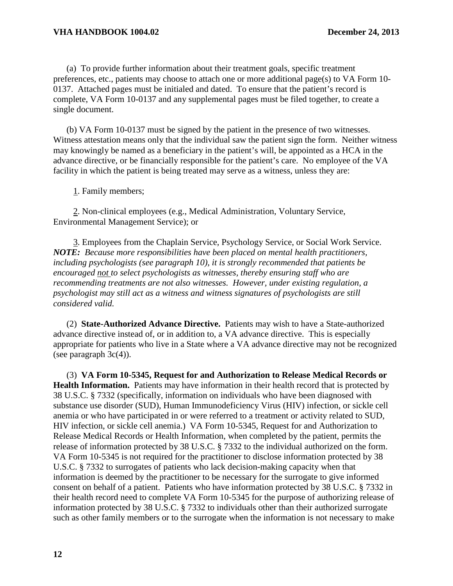(a) To provide further information about their treatment goals, specific treatment preferences, etc., patients may choose to attach one or more additional page(s) to VA Form 10- 0137. Attached pages must be initialed and dated. To ensure that the patient's record is complete, VA Form 10-0137 and any supplemental pages must be filed together, to create a single document.

(b) VA Form 10-0137 must be signed by the patient in the presence of two witnesses. Witness attestation means only that the individual saw the patient sign the form. Neither witness may knowingly be named as a beneficiary in the patient's will, be appointed as a HCA in the advance directive, or be financially responsible for the patient's care. No employee of the VA facility in which the patient is being treated may serve as a witness, unless they are:

1. Family members;

 2. Non-clinical employees (e.g., Medical Administration, Voluntary Service, Environmental Management Service); or

 3. Employees from the Chaplain Service, Psychology Service, or Social Work Service. *NOTE: Because more responsibilities have been placed on mental health practitioners, including psychologists (see paragraph 10), it is strongly recommended that patients be encouraged not to select psychologists as witnesses, thereby ensuring staff who are recommending treatments are not also witnesses. However, under existing regulation, a psychologist may still act as a witness and witness signatures of psychologists are still considered valid.*

(2) **State-Authorized Advance Directive.** Patients may wish to have a State-authorized advance directive instead of, or in addition to, a VA advance directive. This is especially appropriate for patients who live in a State where a VA advance directive may not be recognized (see paragraph  $3c(4)$ ).

(3) **VA Form 10-5345, Request for and Authorization to Release Medical Records or Health Information.** Patients may have information in their health record that is protected by 38 U.S.C. § 7332 (specifically, information on individuals who have been diagnosed with substance use disorder (SUD), Human Immunodeficiency Virus (HIV) infection, or sickle cell anemia or who have participated in or were referred to a treatment or activity related to SUD, HIV infection, or sickle cell anemia.) VA Form 10-5345, Request for and Authorization to Release Medical Records or Health Information, when completed by the patient, permits the release of information protected by 38 U.S.C. § 7332 to the individual authorized on the form. VA Form 10-5345 is not required for the practitioner to disclose information protected by 38 U.S.C. § 7332 to surrogates of patients who lack decision-making capacity when that information is deemed by the practitioner to be necessary for the surrogate to give informed consent on behalf of a patient. Patients who have information protected by 38 U.S.C. § 7332 in their health record need to complete VA Form 10-5345 for the purpose of authorizing release of information protected by 38 U.S.C. § 7332 to individuals other than their authorized surrogate such as other family members or to the surrogate when the information is not necessary to make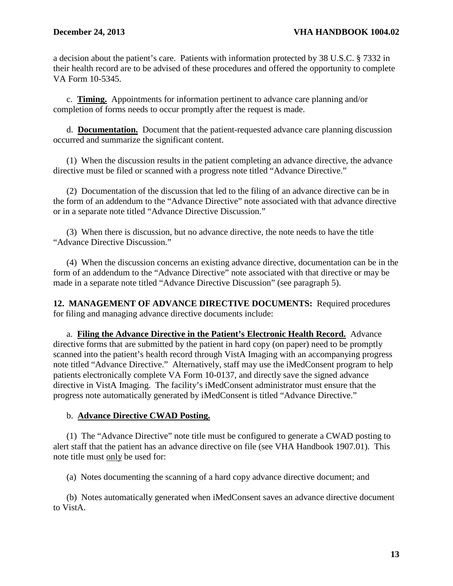a decision about the patient's care. Patients with information protected by 38 U.S.C. § 7332 in their health record are to be advised of these procedures and offered the opportunity to complete VA Form 10-5345.

c. **Timing.** Appointments for information pertinent to advance care planning and/or completion of forms needs to occur promptly after the request is made.

d. **Documentation.** Document that the patient-requested advance care planning discussion occurred and summarize the significant content.

(1) When the discussion results in the patient completing an advance directive, the advance directive must be filed or scanned with a progress note titled "Advance Directive."

(2)Documentation of the discussion that led to the filing of an advance directive can be in the form of an addendum to the "Advance Directive" note associated with that advance directive or in a separate note titled "Advance Directive Discussion."

(3) When there is discussion, but no advance directive, the note needs to have the title "Advance Directive Discussion."

(4) When the discussion concerns an existing advance directive, documentation can be in the form of an addendum to the "Advance Directive" note associated with that directive or may be made in a separate note titled "Advance Directive Discussion" (see paragraph 5).

<span id="page-16-0"></span>**12. MANAGEMENT OF ADVANCE DIRECTIVE DOCUMENTS:** Required procedures for filing and managing advance directive documents include:

a. **Filing the Advance Directive in the Patient's Electronic Health Record.** Advance directive forms that are submitted by the patient in hard copy (on paper) need to be promptly scanned into the patient's health record through VistA Imaging with an accompanying progress note titled "Advance Directive." Alternatively, staff may use the iMedConsent program to help patients electronically complete VA Form 10-0137, and directly save the signed advance directive in VistA Imaging. The facility's iMedConsent administrator must ensure that the progress note automatically generated by iMedConsent is titled "Advance Directive."

# b. **Advance Directive CWAD Posting.**

(1) The "Advance Directive" note title must be configured to generate a CWAD posting to alert staff that the patient has an advance directive on file (see VHA Handbook 1907.01). This note title must only be used for:

(a) Notes documenting the scanning of a hard copy advance directive document; and

(b) Notes automatically generated when iMedConsent saves an advance directive document to VistA.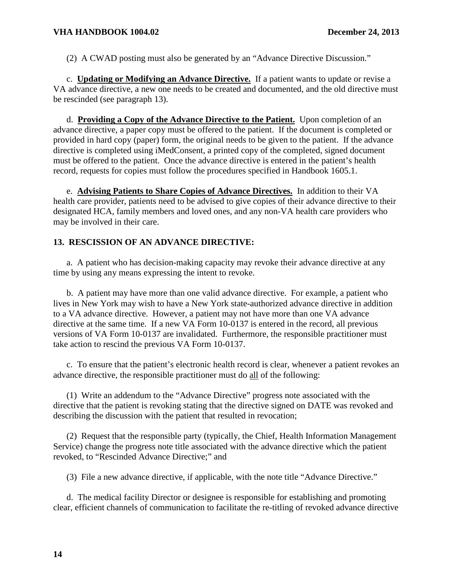(2) A CWAD posting must also be generated by an "Advance Directive Discussion."

c. **Updating or Modifying an Advance Directive.** If a patient wants to update or revise a VA advance directive, a new one needs to be created and documented, and the old directive must be rescinded (see paragraph 13).

d. **Providing a Copy of the Advance Directive to the Patient.** Upon completion of an advance directive, a paper copy must be offered to the patient. If the document is completed or provided in hard copy (paper) form, the original needs to be given to the patient. If the advance directive is completed using iMedConsent, a printed copy of the completed, signed document must be offered to the patient. Once the advance directive is entered in the patient's health record, requests for copies must follow the procedures specified in Handbook 1605.1.

e. **Advising Patients to Share Copies of Advance Directives.** In addition to their VA health care provider, patients need to be advised to give copies of their advance directive to their designated HCA, family members and loved ones, and any non-VA health care providers who may be involved in their care.

# <span id="page-17-0"></span>**13. RESCISSION OF AN ADVANCE DIRECTIVE:**

a. A patient who has decision-making capacity may revoke their advance directive at any time by using any means expressing the intent to revoke.

b. A patient may have more than one valid advance directive. For example, a patient who lives in New York may wish to have a New York state-authorized advance directive in addition to a VA advance directive. However, a patient may not have more than one VA advance directive at the same time. If a new VA Form 10-0137 is entered in the record, all previous versions of VA Form 10-0137 are invalidated. Furthermore, the responsible practitioner must take action to rescind the previous VA Form 10-0137.

c. To ensure that the patient's electronic health record is clear, whenever a patient revokes an advance directive, the responsible practitioner must do all of the following:

(1) Write an addendum to the "Advance Directive" progress note associated with the directive that the patient is revoking stating that the directive signed on DATE was revoked and describing the discussion with the patient that resulted in revocation;

(2) Request that the responsible party (typically, the Chief, Health Information Management Service) change the progress note title associated with the advance directive which the patient revoked, to "Rescinded Advance Directive;" and

(3) File a new advance directive, if applicable, with the note title "Advance Directive."

d. The medical facility Director or designee is responsible for establishing and promoting clear, efficient channels of communication to facilitate the re-titling of revoked advance directive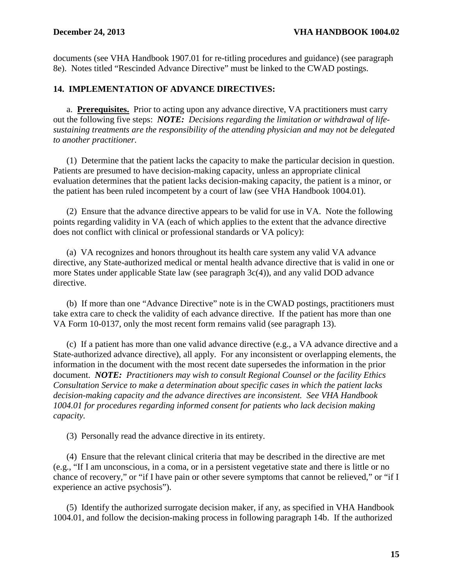documents (see VHA Handbook 1907.01 for re-titling procedures and guidance) (see paragraph 8e). Notes titled "Rescinded Advance Directive" must be linked to the CWAD postings.

# <span id="page-18-0"></span>**14. IMPLEMENTATION OF ADVANCE DIRECTIVES:**

a. **Prerequisites.** Prior to acting upon any advance directive, VA practitioners must carry out the following five steps: *NOTE: Decisions regarding the limitation or withdrawal of lifesustaining treatments are the responsibility of the attending physician and may not be delegated to another practitioner.*

(1) Determine that the patient lacks the capacity to make the particular decision in question. Patients are presumed to have decision-making capacity, unless an appropriate clinical evaluation determines that the patient lacks decision-making capacity, the patient is a minor, or the patient has been ruled incompetent by a court of law (see VHA Handbook 1004.01).

(2) Ensure that the advance directive appears to be valid for use in VA. Note the following points regarding validity in VA (each of which applies to the extent that the advance directive does not conflict with clinical or professional standards or VA policy):

(a) VA recognizes and honors throughout its health care system any valid VA advance directive, any State-authorized medical or mental health advance directive that is valid in one or more States under applicable State law (see paragraph 3c(4)), and any valid DOD advance directive.

(b) If more than one "Advance Directive" note is in the CWAD postings, practitioners must take extra care to check the validity of each advance directive. If the patient has more than one VA Form 10-0137, only the most recent form remains valid (see paragraph 13).

(c) If a patient has more than one valid advance directive (e.g., a VA advance directive and a State-authorized advance directive), all apply. For any inconsistent or overlapping elements, the information in the document with the most recent date supersedes the information in the prior document. *NOTE: Practitioners may wish to consult Regional Counsel or the facility Ethics Consultation Service to make a determination about specific cases in which the patient lacks decision-making capacity and the advance directives are inconsistent. See VHA Handbook 1004.01 for procedures regarding informed consent for patients who lack decision making capacity.*

(3) Personally read the advance directive in its entirety.

(4) Ensure that the relevant clinical criteria that may be described in the directive are met (e.g., "If I am unconscious, in a coma, or in a persistent vegetative state and there is little or no chance of recovery," or "if I have pain or other severe symptoms that cannot be relieved," or "if I experience an active psychosis").

(5) Identify the authorized surrogate decision maker, if any, as specified in VHA Handbook 1004.01, and follow the decision-making process in following paragraph 14b. If the authorized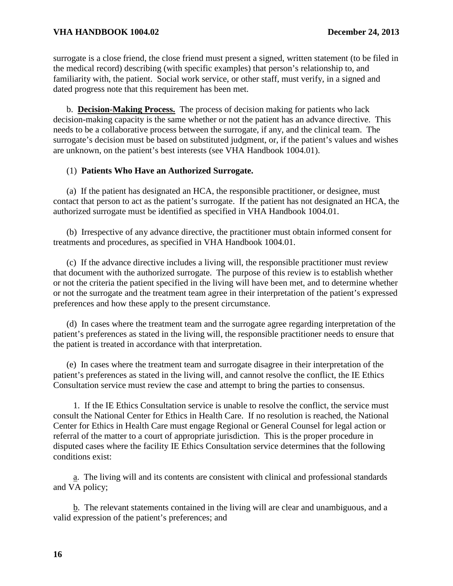surrogate is a close friend, the close friend must present a signed, written statement (to be filed in the medical record) describing (with specific examples) that person's relationship to, and familiarity with, the patient. Social work service, or other staff, must verify, in a signed and dated progress note that this requirement has been met.

b. **Decision-Making Process.** The process of decision making for patients who lack decision-making capacity is the same whether or not the patient has an advance directive. This needs to be a collaborative process between the surrogate, if any, and the clinical team. The surrogate's decision must be based on substituted judgment, or, if the patient's values and wishes are unknown, on the patient's best interests (see VHA Handbook 1004.01).

# (1) **Patients Who Have an Authorized Surrogate.**

(a) If the patient has designated an HCA, the responsible practitioner, or designee, must contact that person to act as the patient's surrogate. If the patient has not designated an HCA, the authorized surrogate must be identified as specified in VHA Handbook 1004.01.

(b) Irrespective of any advance directive, the practitioner must obtain informed consent for treatments and procedures, as specified in VHA Handbook 1004.01.

(c) If the advance directive includes a living will, the responsible practitioner must review that document with the authorized surrogate. The purpose of this review is to establish whether or not the criteria the patient specified in the living will have been met, and to determine whether or not the surrogate and the treatment team agree in their interpretation of the patient's expressed preferences and how these apply to the present circumstance.

(d) In cases where the treatment team and the surrogate agree regarding interpretation of the patient's preferences as stated in the living will, the responsible practitioner needs to ensure that the patient is treated in accordance with that interpretation.

(e) In cases where the treatment team and surrogate disagree in their interpretation of the patient's preferences as stated in the living will, and cannot resolve the conflict, the IE Ethics Consultation service must review the case and attempt to bring the parties to consensus.

 1. If the IE Ethics Consultation service is unable to resolve the conflict, the service must consult the National Center for Ethics in Health Care. If no resolution is reached, the National Center for Ethics in Health Care must engage Regional or General Counsel for legal action or referral of the matter to a court of appropriate jurisdiction. This is the proper procedure in disputed cases where the facility IE Ethics Consultation service determines that the following conditions exist:

 a. The living will and its contents are consistent with clinical and professional standards and VA policy;

 b. The relevant statements contained in the living will are clear and unambiguous, and a valid expression of the patient's preferences; and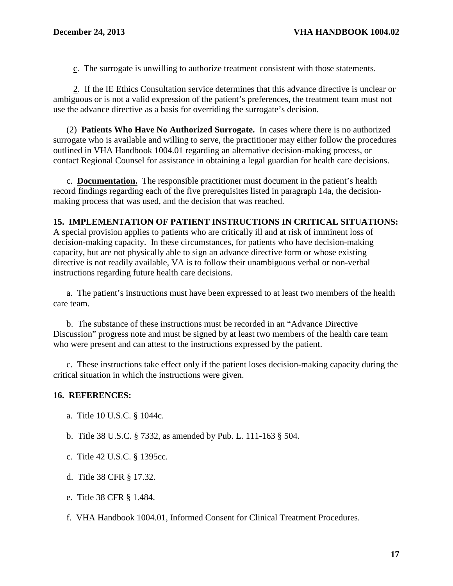c. The surrogate is unwilling to authorize treatment consistent with those statements.

 2. If the IE Ethics Consultation service determines that this advance directive is unclear or ambiguous or is not a valid expression of the patient's preferences, the treatment team must not use the advance directive as a basis for overriding the surrogate's decision.

(2) **Patients Who Have No Authorized Surrogate.** In cases where there is no authorized surrogate who is available and willing to serve, the practitioner may either follow the procedures outlined in VHA Handbook 1004.01 regarding an alternative decision-making process, or contact Regional Counsel for assistance in obtaining a legal guardian for health care decisions.

c. **Documentation.** The responsible practitioner must document in the patient's health record findings regarding each of the five prerequisites listed in paragraph 14a, the decisionmaking process that was used, and the decision that was reached.

#### <span id="page-20-0"></span>**15. IMPLEMENTATION OF PATIENT INSTRUCTIONS IN CRITICAL SITUATIONS:**

A special provision applies to patients who are critically ill and at risk of imminent loss of decision-making capacity. In these circumstances, for patients who have decision-making capacity, but are not physically able to sign an advance directive form or whose existing directive is not readily available, VA is to follow their unambiguous verbal or non-verbal instructions regarding future health care decisions.

a. The patient's instructions must have been expressed to at least two members of the health care team.

b. The substance of these instructions must be recorded in an "Advance Directive Discussion" progress note and must be signed by at least two members of the health care team who were present and can attest to the instructions expressed by the patient.

c. These instructions take effect only if the patient loses decision-making capacity during the critical situation in which the instructions were given.

#### <span id="page-20-1"></span>**16. REFERENCES:**

- a. Title 10 U.S.C. § 1044c.
- b. Title 38 U.S.C. § 7332, as amended by Pub. L. 111-163 § 504.
- c. Title 42 U.S.C. § 1395cc.
- d. Title 38 CFR § 17.32.
- e. Title 38 CFR § 1.484.
- f. VHA Handbook 1004.01, Informed Consent for Clinical Treatment Procedures.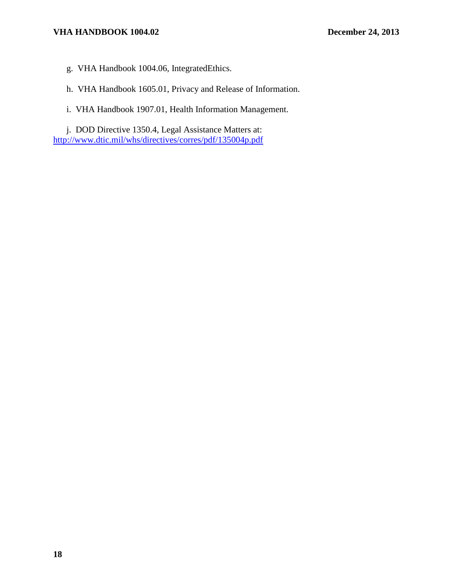# **VHA HANDBOOK 1004.02 December 24, 2013**

g. VHA Handbook 1004.06, IntegratedEthics.

h. VHA Handbook 1605.01, Privacy and Release of Information.

i. VHA Handbook 1907.01, Health Information Management.

j. DOD Directive 1350.4, Legal Assistance Matters at: <http://www.dtic.mil/whs/directives/corres/pdf/135004p.pdf>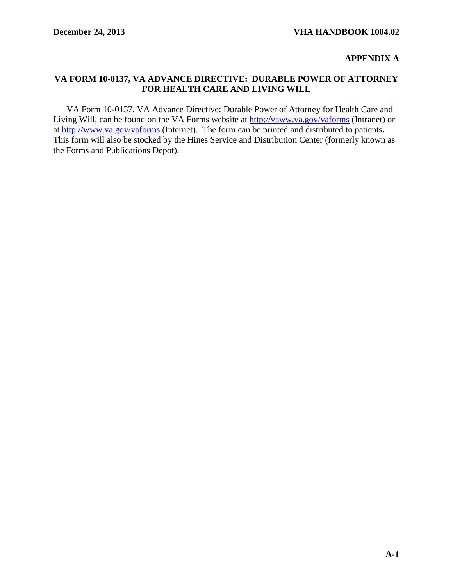### <span id="page-22-0"></span>**APPENDIX A**

### <span id="page-22-1"></span>**VA FORM 10-0137, VA ADVANCE DIRECTIVE: DURABLE POWER OF ATTORNEY FOR HEALTH CARE AND LIVING WILL**

VA Form 10-0137, VA Advance Directive: Durable Power of Attorney for Health Care and Living Will, can be found on the VA Forms website at<http://vaww.va.gov/vaforms> (Intranet) or at<http://www.va.gov/vaforms> (Internet). The form can be printed and distributed to patients**.**  This form will also be stocked by the Hines Service and Distribution Center (formerly known as the Forms and Publications Depot).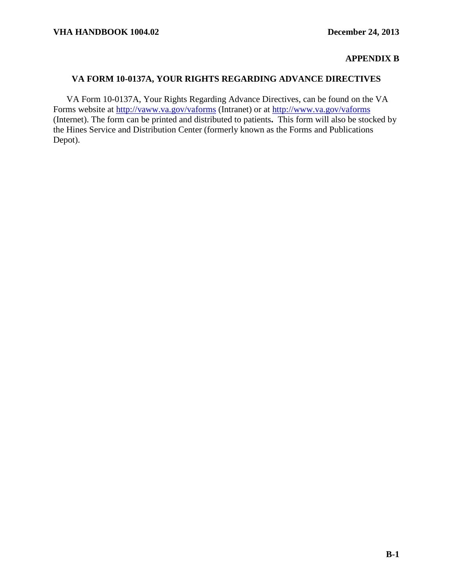# **APPENDIX B**

# <span id="page-23-1"></span><span id="page-23-0"></span>**VA FORM 10-0137A, YOUR RIGHTS REGARDING ADVANCE DIRECTIVES**

VA Form 10-0137A, Your Rights Regarding Advance Directives, can be found on the VA Forms website at<http://vaww.va.gov/vaforms> (Intranet) or at<http://www.va.gov/vaforms> (Internet). The form can be printed and distributed to patients**.** This form will also be stocked by the Hines Service and Distribution Center (formerly known as the Forms and Publications Depot).